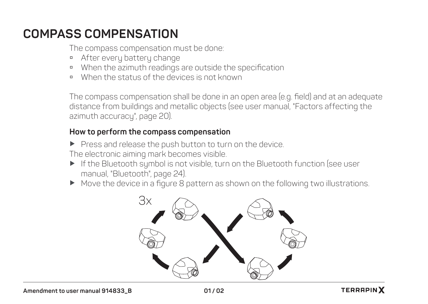## **COMPASS COMPENSATION**

The compass compensation must be done:

- **a** After every battery change
- à When the azimuth readings are outside the specification
- à When the status of the devices is not known

The compass compensation shall be done in an open area (e.g. field) and at an adequate distance from buildings and metallic objects (see user manual, "Factors affecting the azimuth accuracy", page 20).

## **How to perform the compass compensation**

 $\blacktriangleright$  Press and release the push button to turn on the device. The electronic aiming mark becomes visible.

- ▶ If the Bluetooth symbol is not visible, turn on the Bluetooth function (see user manual, "Bluetooth", page 24).
- Move the device in a figure 8 pattern as shown on the following two illustrations.